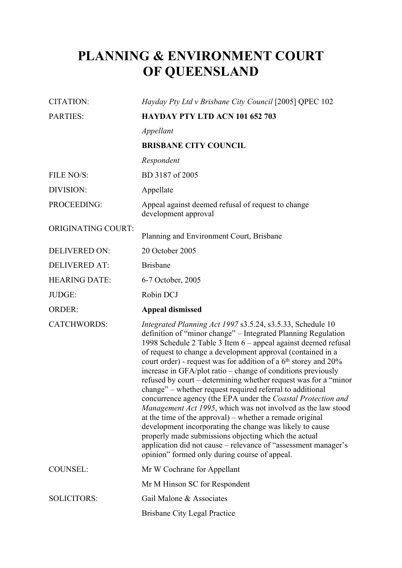# **PLANNING & ENVIRONMENT COURT OF QUEENSLAND**

| <b>CITATION:</b>          | Hayday Pty Ltd v Brisbane City Council [2005] QPEC 102                                                                                                                                                                                                                                                                                                                                                                                                                                                                                                                                                                           |  |  |
|---------------------------|----------------------------------------------------------------------------------------------------------------------------------------------------------------------------------------------------------------------------------------------------------------------------------------------------------------------------------------------------------------------------------------------------------------------------------------------------------------------------------------------------------------------------------------------------------------------------------------------------------------------------------|--|--|
| PARTIES:                  | HAYDAY PTY LTD ACN 101 652 703                                                                                                                                                                                                                                                                                                                                                                                                                                                                                                                                                                                                   |  |  |
|                           | Appellant                                                                                                                                                                                                                                                                                                                                                                                                                                                                                                                                                                                                                        |  |  |
|                           | <b>BRISBANE CITY COUNCIL</b>                                                                                                                                                                                                                                                                                                                                                                                                                                                                                                                                                                                                     |  |  |
|                           | Respondent                                                                                                                                                                                                                                                                                                                                                                                                                                                                                                                                                                                                                       |  |  |
| FILE NO/S:                | BD 3187 of 2005                                                                                                                                                                                                                                                                                                                                                                                                                                                                                                                                                                                                                  |  |  |
| DIVISION:                 | Appellate                                                                                                                                                                                                                                                                                                                                                                                                                                                                                                                                                                                                                        |  |  |
| PROCEEDING:               | Appeal against deemed refusal of request to change<br>development approval                                                                                                                                                                                                                                                                                                                                                                                                                                                                                                                                                       |  |  |
| <b>ORIGINATING COURT:</b> | Planning and Environment Court, Brisbane                                                                                                                                                                                                                                                                                                                                                                                                                                                                                                                                                                                         |  |  |
| <b>DELIVERED ON:</b>      | 20 October 2005                                                                                                                                                                                                                                                                                                                                                                                                                                                                                                                                                                                                                  |  |  |
| <b>DELIVERED AT:</b>      | <b>Brisbane</b>                                                                                                                                                                                                                                                                                                                                                                                                                                                                                                                                                                                                                  |  |  |
| <b>HEARING DATE:</b>      | 6-7 October, 2005                                                                                                                                                                                                                                                                                                                                                                                                                                                                                                                                                                                                                |  |  |
| JUDGE:                    | Robin DCJ                                                                                                                                                                                                                                                                                                                                                                                                                                                                                                                                                                                                                        |  |  |
| <b>ORDER:</b>             | <b>Appeal dismissed</b>                                                                                                                                                                                                                                                                                                                                                                                                                                                                                                                                                                                                          |  |  |
| <b>CATCHWORDS:</b>        | Integrated Planning Act 1997 s3.5.24, s3.5.33, Schedule 10<br>definition of "minor change" - Integrated Planning Regulation<br>1998 Schedule 2 Table 3 Item 6 - appeal against deemed refusal<br>of request to change a development approval (contained in a<br>court order) - request was for addition of a 6 <sup>th</sup> storey and 20%                                                                                                                                                                                                                                                                                      |  |  |
|                           | increase in GFA/plot ratio – change of conditions previously<br>refused by court – determining whether request was for a "minor"<br>change" – whether request required referral to additional<br>concurrence agency (the EPA under the Coastal Protection and<br>Management Act 1995, which was not involved as the law stood<br>at the time of the approval) – whether a remade original<br>development incorporating the change was likely to cause<br>properly made submissions objecting which the actual<br>application did not cause – relevance of "assessment manager's<br>opinion" formed only during course of appeal. |  |  |
| <b>COUNSEL:</b>           | Mr W Cochrane for Appellant                                                                                                                                                                                                                                                                                                                                                                                                                                                                                                                                                                                                      |  |  |
|                           | Mr M Hinson SC for Respondent                                                                                                                                                                                                                                                                                                                                                                                                                                                                                                                                                                                                    |  |  |
| <b>SOLICITORS:</b>        | Gail Malone & Associates                                                                                                                                                                                                                                                                                                                                                                                                                                                                                                                                                                                                         |  |  |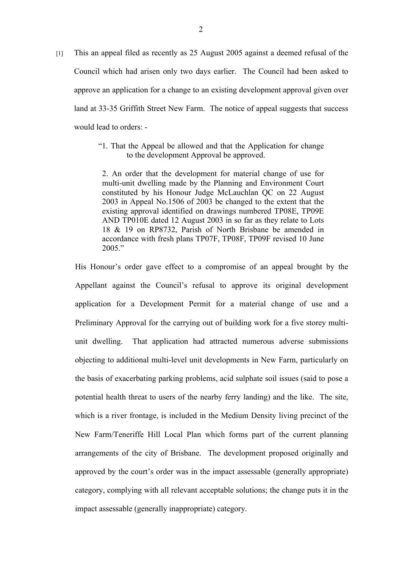- [1] This an appeal filed as recently as 25 August 2005 against a deemed refusal of the Council which had arisen only two days earlier. The Council had been asked to approve an application for a change to an existing development approval given over land at 33-35 Griffith Street New Farm. The notice of appeal suggests that success would lead to orders: -
	- "1. That the Appeal be allowed and that the Application for change to the development Approval be approved.

2. An order that the development for material change of use for multi-unit dwelling made by the Planning and Environment Court constituted by his Honour Judge McLauchlan QC on 22 August 2003 in Appeal No.1506 of 2003 be changed to the extent that the existing approval identified on drawings numbered TP08E, TP09E AND TP010E dated 12 August 2003 in so far as they relate to Lots 18 & 19 on RP8732, Parish of North Brisbane be amended in accordance with fresh plans TP07F, TP08F, TP09F revised 10 June  $2005$ "

His Honour's order gave effect to a compromise of an appeal brought by the Appellant against the Council's refusal to approve its original development application for a Development Permit for a material change of use and a Preliminary Approval for the carrying out of building work for a five storey multiunit dwelling. That application had attracted numerous adverse submissions objecting to additional multi-level unit developments in New Farm, particularly on the basis of exacerbating parking problems, acid sulphate soil issues (said to pose a potential health threat to users of the nearby ferry landing) and the like. The site, which is a river frontage, is included in the Medium Density living precinct of the New Farm/Teneriffe Hill Local Plan which forms part of the current planning arrangements of the city of Brisbane. The development proposed originally and approved by the court's order was in the impact assessable (generally appropriate) category, complying with all relevant acceptable solutions; the change puts it in the impact assessable (generally inappropriate) category.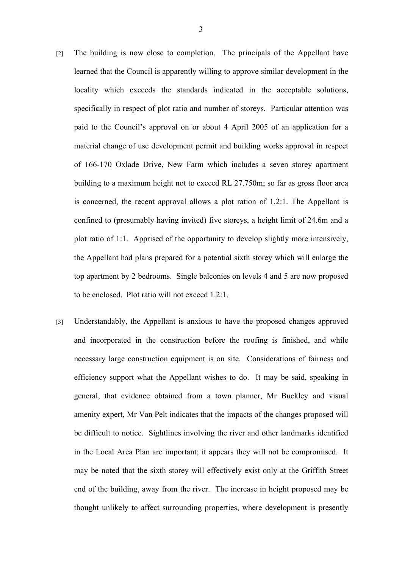- [2] The building is now close to completion. The principals of the Appellant have learned that the Council is apparently willing to approve similar development in the locality which exceeds the standards indicated in the acceptable solutions, specifically in respect of plot ratio and number of storeys. Particular attention was paid to the Council's approval on or about 4 April 2005 of an application for a material change of use development permit and building works approval in respect of 166-170 Oxlade Drive, New Farm which includes a seven storey apartment building to a maximum height not to exceed RL 27.750m; so far as gross floor area is concerned, the recent approval allows a plot ration of 1.2:1. The Appellant is confined to (presumably having invited) five storeys, a height limit of 24.6m and a plot ratio of 1:1. Apprised of the opportunity to develop slightly more intensively, the Appellant had plans prepared for a potential sixth storey which will enlarge the top apartment by 2 bedrooms. Single balconies on levels 4 and 5 are now proposed to be enclosed. Plot ratio will not exceed 1.2:1.
- [3] Understandably, the Appellant is anxious to have the proposed changes approved and incorporated in the construction before the roofing is finished, and while necessary large construction equipment is on site. Considerations of fairness and efficiency support what the Appellant wishes to do. It may be said, speaking in general, that evidence obtained from a town planner, Mr Buckley and visual amenity expert, Mr Van Pelt indicates that the impacts of the changes proposed will be difficult to notice. Sightlines involving the river and other landmarks identified in the Local Area Plan are important; it appears they will not be compromised. It may be noted that the sixth storey will effectively exist only at the Griffith Street end of the building, away from the river. The increase in height proposed may be thought unlikely to affect surrounding properties, where development is presently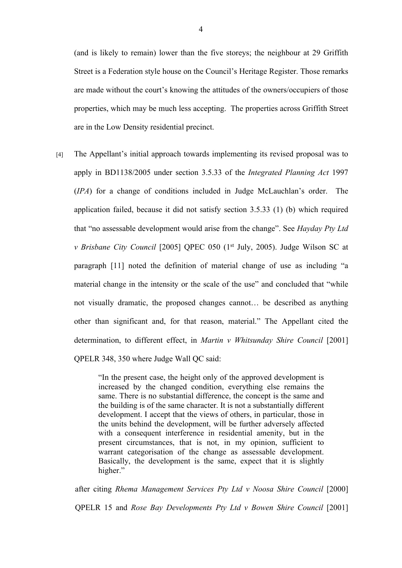(and is likely to remain) lower than the five storeys; the neighbour at 29 Griffith Street is a Federation style house on the Council's Heritage Register. Those remarks are made without the court's knowing the attitudes of the owners/occupiers of those properties, which may be much less accepting. The properties across Griffith Street are in the Low Density residential precinct.

[4] The Appellant's initial approach towards implementing its revised proposal was to apply in BD1138/2005 under section 3.5.33 of the *Integrated Planning Act* 1997 (*IPA*) for a change of conditions included in Judge McLauchlan's order. The application failed, because it did not satisfy section 3.5.33 (1) (b) which required that "no assessable development would arise from the change". See *Hayday Pty Ltd v Brisbane City Council* [2005] QPEC 050 (1<sup>st</sup> July, 2005). Judge Wilson SC at paragraph [11] noted the definition of material change of use as including "a material change in the intensity or the scale of the use" and concluded that "while not visually dramatic, the proposed changes cannot… be described as anything other than significant and, for that reason, material." The Appellant cited the determination, to different effect, in *Martin v Whitsunday Shire Council* [2001] QPELR 348, 350 where Judge Wall QC said:

> "In the present case, the height only of the approved development is increased by the changed condition, everything else remains the same. There is no substantial difference, the concept is the same and the building is of the same character. It is not a substantially different development. I accept that the views of others, in particular, those in the units behind the development, will be further adversely affected with a consequent interference in residential amenity, but in the present circumstances, that is not, in my opinion, sufficient to warrant categorisation of the change as assessable development. Basically, the development is the same, expect that it is slightly higher."

after citing *Rhema Management Services Pty Ltd v Noosa Shire Council* [2000] QPELR 15 and *Rose Bay Developments Pty Ltd v Bowen Shire Council* [2001]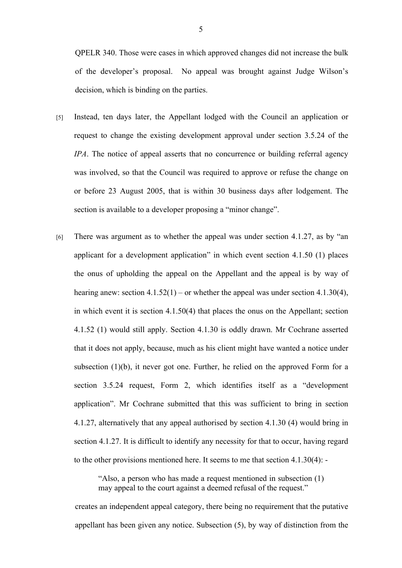QPELR 340. Those were cases in which approved changes did not increase the bulk of the developer's proposal. No appeal was brought against Judge Wilson's decision, which is binding on the parties.

- [5] Instead, ten days later, the Appellant lodged with the Council an application or request to change the existing development approval under section 3.5.24 of the *IPA*. The notice of appeal asserts that no concurrence or building referral agency was involved, so that the Council was required to approve or refuse the change on or before 23 August 2005, that is within 30 business days after lodgement. The section is available to a developer proposing a "minor change".
- [6] There was argument as to whether the appeal was under section 4.1.27, as by "an applicant for a development application" in which event section 4.1.50 (1) places the onus of upholding the appeal on the Appellant and the appeal is by way of hearing anew: section  $4.1.52(1)$  – or whether the appeal was under section  $4.1.30(4)$ , in which event it is section 4.1.50(4) that places the onus on the Appellant; section 4.1.52 (1) would still apply. Section 4.1.30 is oddly drawn. Mr Cochrane asserted that it does not apply, because, much as his client might have wanted a notice under subsection (1)(b), it never got one. Further, he relied on the approved Form for a section 3.5.24 request, Form 2, which identifies itself as a "development application". Mr Cochrane submitted that this was sufficient to bring in section 4.1.27, alternatively that any appeal authorised by section 4.1.30 (4) would bring in section 4.1.27. It is difficult to identify any necessity for that to occur, having regard to the other provisions mentioned here. It seems to me that section 4.1.30(4): -

"Also, a person who has made a request mentioned in subsection (1) may appeal to the court against a deemed refusal of the request."

creates an independent appeal category, there being no requirement that the putative appellant has been given any notice. Subsection (5), by way of distinction from the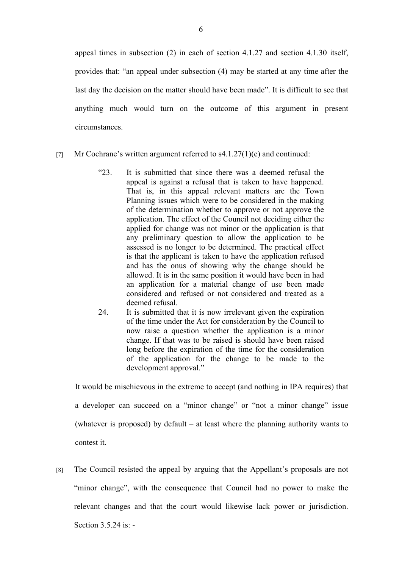appeal times in subsection (2) in each of section 4.1.27 and section 4.1.30 itself, provides that: "an appeal under subsection (4) may be started at any time after the last day the decision on the matter should have been made". It is difficult to see that anything much would turn on the outcome of this argument in present circumstances.

- [7] Mr Cochrane's written argument referred to  $s4.1.27(1)(e)$  and continued:
	- "23. It is submitted that since there was a deemed refusal the appeal is against a refusal that is taken to have happened. That is, in this appeal relevant matters are the Town Planning issues which were to be considered in the making of the determination whether to approve or not approve the application. The effect of the Council not deciding either the applied for change was not minor or the application is that any preliminary question to allow the application to be assessed is no longer to be determined. The practical effect is that the applicant is taken to have the application refused and has the onus of showing why the change should be allowed. It is in the same position it would have been in had an application for a material change of use been made considered and refused or not considered and treated as a deemed refusal.
	- 24. It is submitted that it is now irrelevant given the expiration of the time under the Act for consideration by the Council to now raise a question whether the application is a minor change. If that was to be raised is should have been raised long before the expiration of the time for the consideration of the application for the change to be made to the development approval."

It would be mischievous in the extreme to accept (and nothing in IPA requires) that a developer can succeed on a "minor change" or "not a minor change" issue (whatever is proposed) by default – at least where the planning authority wants to contest it.

[8] The Council resisted the appeal by arguing that the Appellant's proposals are not "minor change", with the consequence that Council had no power to make the relevant changes and that the court would likewise lack power or jurisdiction. Section  $3.5.24$  is: -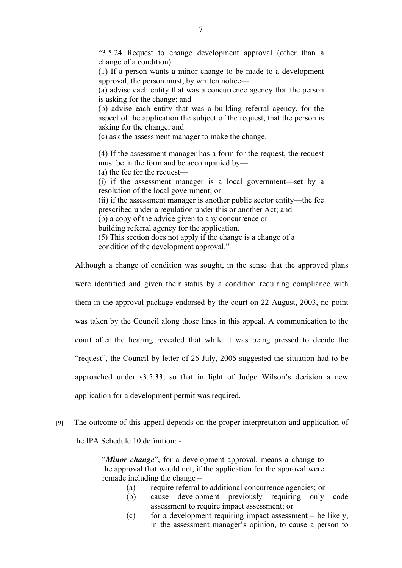"3.5.24 Request to change development approval (other than a change of a condition)

(1) If a person wants a minor change to be made to a development approval, the person must, by written notice—

(a) advise each entity that was a concurrence agency that the person is asking for the change; and

(b) advise each entity that was a building referral agency, for the aspect of the application the subject of the request, that the person is asking for the change; and

(c) ask the assessment manager to make the change.

(4) If the assessment manager has a form for the request, the request must be in the form and be accompanied by—

(a) the fee for the request—

(i) if the assessment manager is a local government—set by a resolution of the local government; or

(ii) if the assessment manager is another public sector entity—the fee prescribed under a regulation under this or another Act; and

(b) a copy of the advice given to any concurrence or

building referral agency for the application.

(5) This section does not apply if the change is a change of a

condition of the development approval."

Although a change of condition was sought, in the sense that the approved plans were identified and given their status by a condition requiring compliance with them in the approval package endorsed by the court on 22 August, 2003, no point was taken by the Council along those lines in this appeal. A communication to the court after the hearing revealed that while it was being pressed to decide the "request", the Council by letter of 26 July, 2005 suggested the situation had to be approached under s3.5.33, so that in light of Judge Wilson's decision a new application for a development permit was required.

[9] The outcome of this appeal depends on the proper interpretation and application of the IPA Schedule 10 definition: -

> "*Minor change*", for a development approval, means a change to the approval that would not, if the application for the approval were remade including the change –

- (a) require referral to additional concurrence agencies; or
- (b) cause development previously requiring only code assessment to require impact assessment; or
- (c) for a development requiring impact assessment  $-$  be likely, in the assessment manager's opinion, to cause a person to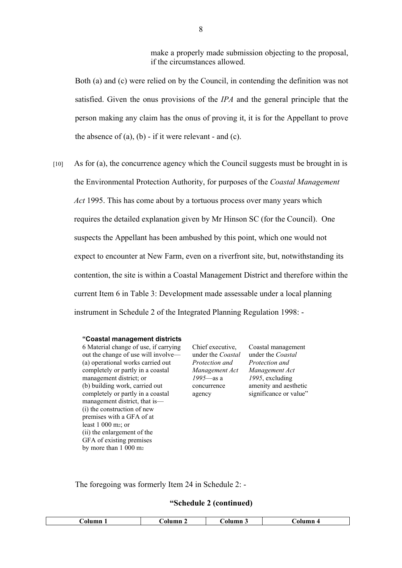make a properly made submission objecting to the proposal, if the circumstances allowed.

Both (a) and (c) were relied on by the Council, in contending the definition was not satisfied. Given the onus provisions of the *IPA* and the general principle that the person making any claim has the onus of proving it, it is for the Appellant to prove the absence of  $(a)$ ,  $(b)$  - if it were relevant - and  $(c)$ .

[10] As for (a), the concurrence agency which the Council suggests must be brought in is the Environmental Protection Authority, for purposes of the *Coastal Management Act* 1995. This has come about by a tortuous process over many years which requires the detailed explanation given by Mr Hinson SC (for the Council). One suspects the Appellant has been ambushed by this point, which one would not expect to encounter at New Farm, even on a riverfront site, but, notwithstanding its contention, the site is within a Coastal Management District and therefore within the current Item 6 in Table 3: Development made assessable under a local planning instrument in Schedule 2 of the Integrated Planning Regulation 1998: -

#### **"Coastal management districts**

6 Material change of use, if carrying out the change of use will involve— (a) operational works carried out completely or partly in a coastal management district; or (b) building work, carried out completely or partly in a coastal management district, that is— (i) the construction of new premises with a GFA of at least 1 000 m2; or (ii) the enlargement of the GFA of existing premises by more than 1 000 m<sup>2</sup>

Chief executive, under the *Coastal Protection and Management Act 1995*—as a concurrence agency

Coastal management under the *Coastal Protection and Management Act 1995*, excluding amenity and aesthetic significance or value"

The foregoing was formerly Item 24 in Schedule 2: -

#### **"Schedule 2 (continued)**

| `olumn | <b>`olumn</b> | Aolumn' | Numn 4 |
|--------|---------------|---------|--------|
|        | _ _ _         |         | _____  |
|        |               |         |        |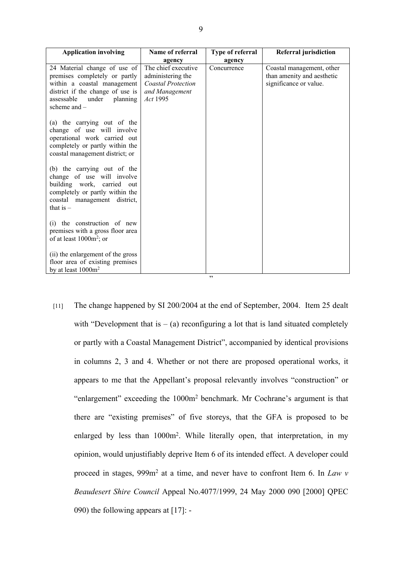| <b>Application involving</b>                                                                                                                                                          | Name of referral                                                                                    | Type of referral | <b>Referral jurisdiction</b>                                                      |
|---------------------------------------------------------------------------------------------------------------------------------------------------------------------------------------|-----------------------------------------------------------------------------------------------------|------------------|-----------------------------------------------------------------------------------|
|                                                                                                                                                                                       | agency                                                                                              | agency           |                                                                                   |
| 24 Material change of use of<br>premises completely or partly<br>within a coastal management<br>district if the change of use is<br>assessable<br>under<br>planning<br>scheme and $-$ | The chief executive<br>administering the<br><b>Coastal Protection</b><br>and Management<br>Act 1995 | Concurrence      | Coastal management, other<br>than amenity and aesthetic<br>significance or value. |
| (a) the carrying out of the<br>change of use will involve<br>operational work carried out<br>completely or partly within the<br>coastal management district; or                       |                                                                                                     |                  |                                                                                   |
| (b) the carrying out of the<br>change of use will involve<br>building work, carried<br>out<br>completely or partly within the<br>coastal management district,<br>that is $-$          |                                                                                                     |                  |                                                                                   |
| (i) the construction of new<br>premises with a gross floor area<br>of at least $1000m^2$ ; or                                                                                         |                                                                                                     |                  |                                                                                   |
| (ii) the enlargement of the gross<br>floor area of existing premises<br>by at least 1000m <sup>2</sup>                                                                                |                                                                                                     | ,,               |                                                                                   |

[11] The change happened by SI 200/2004 at the end of September, 2004. Item 25 dealt with "Development that is  $-$  (a) reconfiguring a lot that is land situated completely or partly with a Coastal Management District", accompanied by identical provisions in columns 2, 3 and 4. Whether or not there are proposed operational works, it appears to me that the Appellant's proposal relevantly involves "construction" or "enlargement" exceeding the 1000m<sup>2</sup> benchmark. Mr Cochrane's argument is that there are "existing premises" of five storeys, that the GFA is proposed to be enlarged by less than 1000m<sup>2</sup>. While literally open, that interpretation, in my opinion, would unjustifiably deprive Item 6 of its intended effect. A developer could proceed in stages, 999m<sup>2</sup> at a time, and never have to confront Item 6. In *Law v Beaudesert Shire Council* Appeal No.4077/1999, 24 May 2000 090 [2000] QPEC 090) the following appears at [17]: -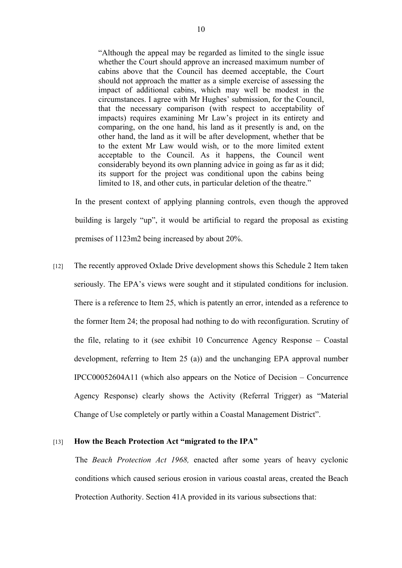"Although the appeal may be regarded as limited to the single issue whether the Court should approve an increased maximum number of cabins above that the Council has deemed acceptable, the Court should not approach the matter as a simple exercise of assessing the impact of additional cabins, which may well be modest in the circumstances. I agree with Mr Hughes' submission, for the Council, that the necessary comparison (with respect to acceptability of impacts) requires examining Mr Law's project in its entirety and comparing, on the one hand, his land as it presently is and, on the other hand, the land as it will be after development, whether that be to the extent Mr Law would wish, or to the more limited extent acceptable to the Council. As it happens, the Council went considerably beyond its own planning advice in going as far as it did; its support for the project was conditional upon the cabins being limited to 18, and other cuts, in particular deletion of the theatre."

In the present context of applying planning controls, even though the approved building is largely "up", it would be artificial to regard the proposal as existing premises of 1123m2 being increased by about 20%.

[12] The recently approved Oxlade Drive development shows this Schedule 2 Item taken seriously. The EPA's views were sought and it stipulated conditions for inclusion. There is a reference to Item 25, which is patently an error, intended as a reference to the former Item 24; the proposal had nothing to do with reconfiguration. Scrutiny of the file, relating to it (see exhibit 10 Concurrence Agency Response – Coastal development, referring to Item 25 (a)) and the unchanging EPA approval number IPCC00052604A11 (which also appears on the Notice of Decision – Concurrence Agency Response) clearly shows the Activity (Referral Trigger) as "Material Change of Use completely or partly within a Coastal Management District".

### [13] **How the Beach Protection Act "migrated to the IPA"**

The *Beach Protection Act 1968,* enacted after some years of heavy cyclonic conditions which caused serious erosion in various coastal areas, created the Beach Protection Authority. Section 41A provided in its various subsections that: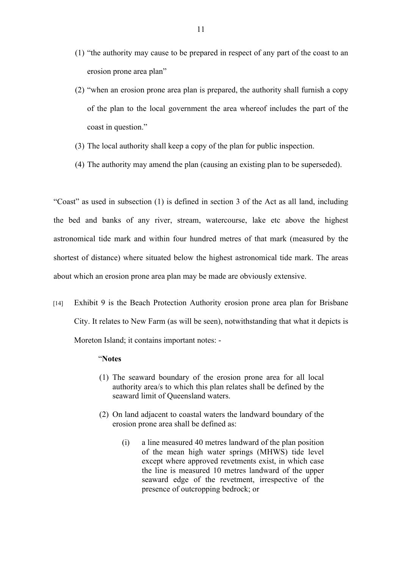- (1) "the authority may cause to be prepared in respect of any part of the coast to an erosion prone area plan"
- (2) "when an erosion prone area plan is prepared, the authority shall furnish a copy of the plan to the local government the area whereof includes the part of the coast in question."
- (3) The local authority shall keep a copy of the plan for public inspection.
- (4) The authority may amend the plan (causing an existing plan to be superseded).

"Coast" as used in subsection (1) is defined in section 3 of the Act as all land, including the bed and banks of any river, stream, watercourse, lake etc above the highest astronomical tide mark and within four hundred metres of that mark (measured by the shortest of distance) where situated below the highest astronomical tide mark. The areas about which an erosion prone area plan may be made are obviously extensive.

[14] Exhibit 9 is the Beach Protection Authority erosion prone area plan for Brisbane City. It relates to New Farm (as will be seen), notwithstanding that what it depicts is Moreton Island; it contains important notes: -

## "**Notes**

- (1) The seaward boundary of the erosion prone area for all local authority area/s to which this plan relates shall be defined by the seaward limit of Queensland waters.
- (2) On land adjacent to coastal waters the landward boundary of the erosion prone area shall be defined as:
	- (i) a line measured 40 metres landward of the plan position of the mean high water springs (MHWS) tide level except where approved revetments exist, in which case the line is measured 10 metres landward of the upper seaward edge of the revetment, irrespective of the presence of outcropping bedrock; or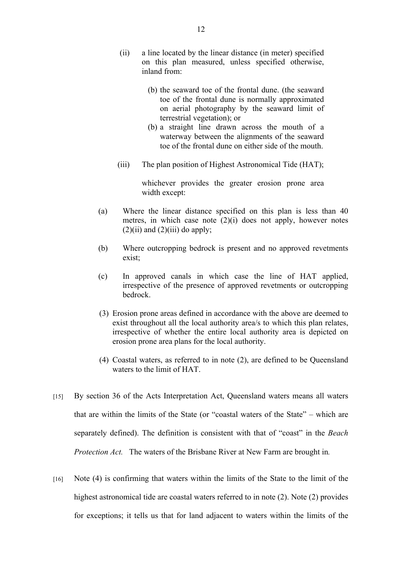- (ii) a line located by the linear distance (in meter) specified on this plan measured, unless specified otherwise, inland from:
	- (b) the seaward toe of the frontal dune. (the seaward toe of the frontal dune is normally approximated on aerial photography by the seaward limit of terrestrial vegetation); or
	- (b) a straight line drawn across the mouth of a waterway between the alignments of the seaward toe of the frontal dune on either side of the mouth.
- (iii) The plan position of Highest Astronomical Tide (HAT);

whichever provides the greater erosion prone area width except:

- (a) Where the linear distance specified on this plan is less than 40 metres, in which case note  $(2)(i)$  does not apply, however notes  $(2)(ii)$  and  $(2)(iii)$  do apply;
- (b) Where outcropping bedrock is present and no approved revetments exist:
- (c) In approved canals in which case the line of HAT applied, irrespective of the presence of approved revetments or outcropping bedrock.
- (3) Erosion prone areas defined in accordance with the above are deemed to exist throughout all the local authority area/s to which this plan relates, irrespective of whether the entire local authority area is depicted on erosion prone area plans for the local authority.
- (4) Coastal waters, as referred to in note (2), are defined to be Queensland waters to the limit of HAT.
- [15] By section 36 of the Acts Interpretation Act, Queensland waters means all waters that are within the limits of the State (or "coastal waters of the State" – which are separately defined). The definition is consistent with that of "coast" in the *Beach Protection Act.* The waters of the Brisbane River at New Farm are brought in*.*
- [16] Note (4) is confirming that waters within the limits of the State to the limit of the highest astronomical tide are coastal waters referred to in note (2). Note (2) provides for exceptions; it tells us that for land adjacent to waters within the limits of the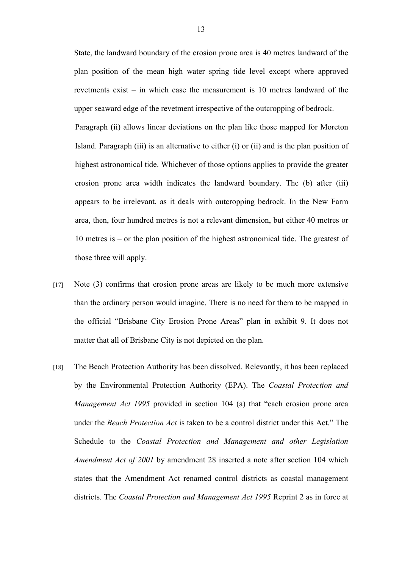State, the landward boundary of the erosion prone area is 40 metres landward of the plan position of the mean high water spring tide level except where approved revetments exist – in which case the measurement is 10 metres landward of the upper seaward edge of the revetment irrespective of the outcropping of bedrock.

Paragraph (ii) allows linear deviations on the plan like those mapped for Moreton Island. Paragraph (iii) is an alternative to either (i) or (ii) and is the plan position of highest astronomical tide. Whichever of those options applies to provide the greater erosion prone area width indicates the landward boundary. The (b) after (iii) appears to be irrelevant, as it deals with outcropping bedrock. In the New Farm area, then, four hundred metres is not a relevant dimension, but either 40 metres or 10 metres is – or the plan position of the highest astronomical tide. The greatest of those three will apply.

- [17] Note (3) confirms that erosion prone areas are likely to be much more extensive than the ordinary person would imagine. There is no need for them to be mapped in the official "Brisbane City Erosion Prone Areas" plan in exhibit 9. It does not matter that all of Brisbane City is not depicted on the plan.
- [18] The Beach Protection Authority has been dissolved. Relevantly, it has been replaced by the Environmental Protection Authority (EPA). The *Coastal Protection and Management Act 1995* provided in section 104 (a) that "each erosion prone area under the *Beach Protection Act* is taken to be a control district under this Act." The Schedule to the *Coastal Protection and Management and other Legislation Amendment Act of 2001* by amendment 28 inserted a note after section 104 which states that the Amendment Act renamed control districts as coastal management districts. The *Coastal Protection and Management Act 1995* Reprint 2 as in force at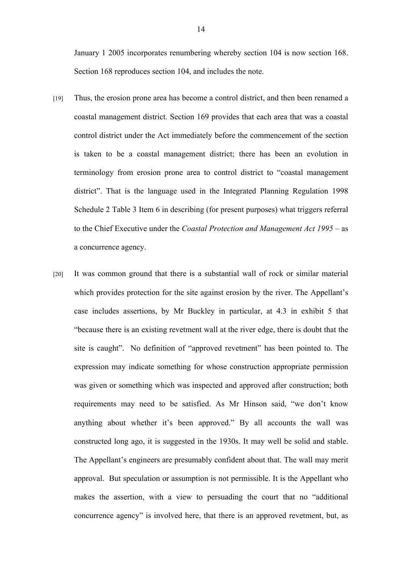January 1 2005 incorporates renumbering whereby section 104 is now section 168. Section 168 reproduces section 104, and includes the note.

- [19] Thus, the erosion prone area has become a control district, and then been renamed a coastal management district. Section 169 provides that each area that was a coastal control district under the Act immediately before the commencement of the section is taken to be a coastal management district; there has been an evolution in terminology from erosion prone area to control district to "coastal management district". That is the language used in the Integrated Planning Regulation 1998 Schedule 2 Table 3 Item 6 in describing (for present purposes) what triggers referral to the Chief Executive under the *Coastal Protection and Management Act 1995* – as a concurrence agency.
- [20] It was common ground that there is a substantial wall of rock or similar material which provides protection for the site against erosion by the river. The Appellant's case includes assertions, by Mr Buckley in particular, at 4.3 in exhibit 5 that "because there is an existing revetment wall at the river edge, there is doubt that the site is caught". No definition of "approved revetment" has been pointed to. The expression may indicate something for whose construction appropriate permission was given or something which was inspected and approved after construction; both requirements may need to be satisfied. As Mr Hinson said, "we don't know anything about whether it's been approved." By all accounts the wall was constructed long ago, it is suggested in the 1930s. It may well be solid and stable. The Appellant's engineers are presumably confident about that. The wall may merit approval. But speculation or assumption is not permissible. It is the Appellant who makes the assertion, with a view to persuading the court that no "additional concurrence agency" is involved here, that there is an approved revetment, but, as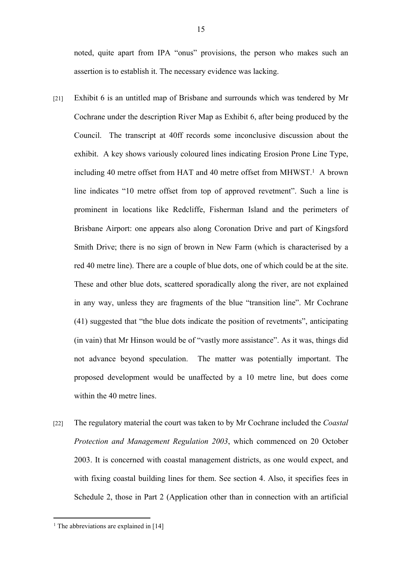noted, quite apart from IPA "onus" provisions, the person who makes such an assertion is to establish it. The necessary evidence was lacking.

- [21] Exhibit 6 is an untitled map of Brisbane and surrounds which was tendered by Mr Cochrane under the description River Map as Exhibit 6, after being produced by the Council. The transcript at 40ff records some inconclusive discussion about the exhibit. A key shows variously coloured lines indicating Erosion Prone Line Type, including 40 metre offset from HAT and 40 metre offset from MHWST.<sup>1</sup> A brown line indicates "10 metre offset from top of approved revetment". Such a line is prominent in locations like Redcliffe, Fisherman Island and the perimeters of Brisbane Airport: one appears also along Coronation Drive and part of Kingsford Smith Drive; there is no sign of brown in New Farm (which is characterised by a red 40 metre line). There are a couple of blue dots, one of which could be at the site. These and other blue dots, scattered sporadically along the river, are not explained in any way, unless they are fragments of the blue "transition line". Mr Cochrane (41) suggested that "the blue dots indicate the position of revetments", anticipating (in vain) that Mr Hinson would be of "vastly more assistance". As it was, things did not advance beyond speculation. The matter was potentially important. The proposed development would be unaffected by a 10 metre line, but does come within the 40 metre lines.
- [22] The regulatory material the court was taken to by Mr Cochrane included the *Coastal Protection and Management Regulation 2003*, which commenced on 20 October 2003. It is concerned with coastal management districts, as one would expect, and with fixing coastal building lines for them. See section 4. Also, it specifies fees in Schedule 2, those in Part 2 (Application other than in connection with an artificial

<sup>&</sup>lt;sup>1</sup> The abbreviations are explained in [14]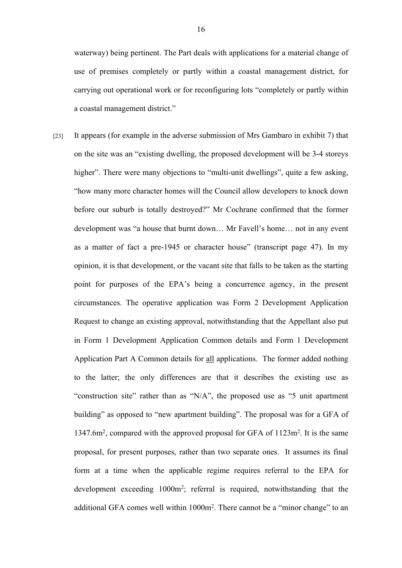waterway) being pertinent. The Part deals with applications for a material change of use of premises completely or partly within a coastal management district, for carrying out operational work or for reconfiguring lots "completely or partly within a coastal management district."

[23] It appears (for example in the adverse submission of Mrs Gambaro in exhibit 7) that on the site was an "existing dwelling, the proposed development will be 3-4 storeys higher". There were many objections to "multi-unit dwellings", quite a few asking, "how many more character homes will the Council allow developers to knock down before our suburb is totally destroyed?" Mr Cochrane confirmed that the former development was "a house that burnt down… Mr Favell's home… not in any event as a matter of fact a pre-1945 or character house" (transcript page 47). In my opinion, it is that development, or the vacant site that falls to be taken as the starting point for purposes of the EPA's being a concurrence agency, in the present circumstances. The operative application was Form 2 Development Application Request to change an existing approval, notwithstanding that the Appellant also put in Form 1 Development Application Common details and Form 1 Development Application Part A Common details for all applications. The former added nothing to the latter; the only differences are that it describes the existing use as "construction site" rather than as "N/A", the proposed use as "5 unit apartment building" as opposed to "new apartment building". The proposal was for a GFA of 1347.6m<sup>2</sup> , compared with the approved proposal for GFA of 1123m<sup>2</sup> . It is the same proposal, for present purposes, rather than two separate ones. It assumes its final form at a time when the applicable regime requires referral to the EPA for development exceeding 1000m<sup>2</sup> ; referral is required, notwithstanding that the additional GFA comes well within 1000m<sup>2</sup>. There cannot be a "minor change" to an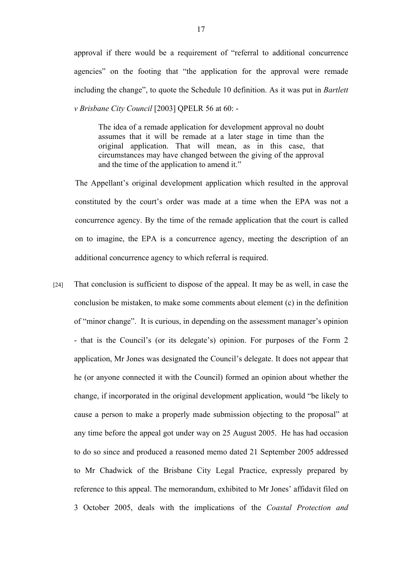approval if there would be a requirement of "referral to additional concurrence agencies" on the footing that "the application for the approval were remade including the change", to quote the Schedule 10 definition. As it was put in *Bartlett v Brisbane City Council* [2003] QPELR 56 at 60: -

The idea of a remade application for development approval no doubt assumes that it will be remade at a later stage in time than the original application. That will mean, as in this case, that circumstances may have changed between the giving of the approval and the time of the application to amend it."

The Appellant's original development application which resulted in the approval constituted by the court's order was made at a time when the EPA was not a concurrence agency. By the time of the remade application that the court is called on to imagine, the EPA is a concurrence agency, meeting the description of an additional concurrence agency to which referral is required.

[24] That conclusion is sufficient to dispose of the appeal. It may be as well, in case the conclusion be mistaken, to make some comments about element (c) in the definition of "minor change". It is curious, in depending on the assessment manager's opinion - that is the Council's (or its delegate's) opinion. For purposes of the Form 2 application, Mr Jones was designated the Council's delegate. It does not appear that he (or anyone connected it with the Council) formed an opinion about whether the change, if incorporated in the original development application, would "be likely to cause a person to make a properly made submission objecting to the proposal" at any time before the appeal got under way on 25 August 2005. He has had occasion to do so since and produced a reasoned memo dated 21 September 2005 addressed to Mr Chadwick of the Brisbane City Legal Practice, expressly prepared by reference to this appeal. The memorandum, exhibited to Mr Jones' affidavit filed on 3 October 2005, deals with the implications of the *Coastal Protection and*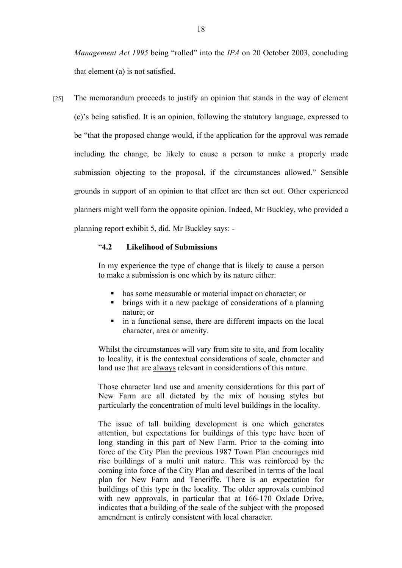*Management Act 1995* being "rolled" into the *IPA* on 20 October 2003, concluding that element (a) is not satisfied.

[25] The memorandum proceeds to justify an opinion that stands in the way of element (c)'s being satisfied. It is an opinion, following the statutory language, expressed to be "that the proposed change would, if the application for the approval was remade including the change, be likely to cause a person to make a properly made submission objecting to the proposal, if the circumstances allowed." Sensible grounds in support of an opinion to that effect are then set out. Other experienced planners might well form the opposite opinion. Indeed, Mr Buckley, who provided a planning report exhibit 5, did. Mr Buckley says: -

# "**4.2 Likelihood of Submissions**

In my experience the type of change that is likely to cause a person to make a submission is one which by its nature either:

- has some measurable or material impact on character; or
- brings with it a new package of considerations of a planning nature; or
- in a functional sense, there are different impacts on the local character, area or amenity.

Whilst the circumstances will vary from site to site, and from locality to locality, it is the contextual considerations of scale, character and land use that are always relevant in considerations of this nature.

Those character land use and amenity considerations for this part of New Farm are all dictated by the mix of housing styles but particularly the concentration of multi level buildings in the locality.

The issue of tall building development is one which generates attention, but expectations for buildings of this type have been of long standing in this part of New Farm. Prior to the coming into force of the City Plan the previous 1987 Town Plan encourages mid rise buildings of a multi unit nature. This was reinforced by the coming into force of the City Plan and described in terms of the local plan for New Farm and Teneriffe. There is an expectation for buildings of this type in the locality. The older approvals combined with new approvals, in particular that at 166-170 Oxlade Drive, indicates that a building of the scale of the subject with the proposed amendment is entirely consistent with local character.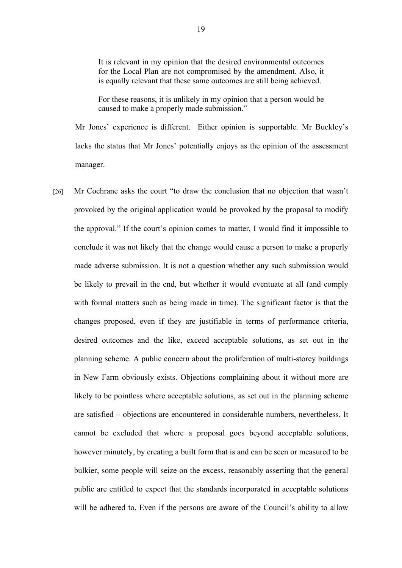It is relevant in my opinion that the desired environmental outcomes for the Local Plan are not compromised by the amendment. Also, it is equally relevant that these same outcomes are still being achieved.

For these reasons, it is unlikely in my opinion that a person would be caused to make a properly made submission."

Mr Jones' experience is different. Either opinion is supportable. Mr Buckley's lacks the status that Mr Jones' potentially enjoys as the opinion of the assessment manager.

[26] Mr Cochrane asks the court "to draw the conclusion that no objection that wasn't provoked by the original application would be provoked by the proposal to modify the approval." If the court's opinion comes to matter, I would find it impossible to conclude it was not likely that the change would cause a person to make a properly made adverse submission. It is not a question whether any such submission would be likely to prevail in the end, but whether it would eventuate at all (and comply with formal matters such as being made in time). The significant factor is that the changes proposed, even if they are justifiable in terms of performance criteria, desired outcomes and the like, exceed acceptable solutions, as set out in the planning scheme. A public concern about the proliferation of multi-storey buildings in New Farm obviously exists. Objections complaining about it without more are likely to be pointless where acceptable solutions, as set out in the planning scheme are satisfied – objections are encountered in considerable numbers, nevertheless. It cannot be excluded that where a proposal goes beyond acceptable solutions, however minutely, by creating a built form that is and can be seen or measured to be bulkier, some people will seize on the excess, reasonably asserting that the general public are entitled to expect that the standards incorporated in acceptable solutions will be adhered to. Even if the persons are aware of the Council's ability to allow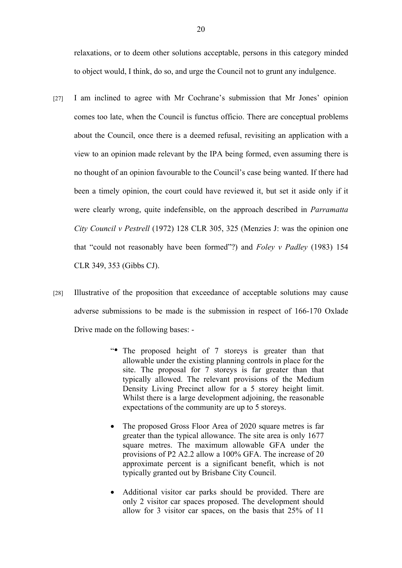relaxations, or to deem other solutions acceptable, persons in this category minded to object would, I think, do so, and urge the Council not to grunt any indulgence.

- [27] I am inclined to agree with Mr Cochrane's submission that Mr Jones' opinion comes too late, when the Council is functus officio. There are conceptual problems about the Council, once there is a deemed refusal, revisiting an application with a view to an opinion made relevant by the IPA being formed, even assuming there is no thought of an opinion favourable to the Council's case being wanted. If there had been a timely opinion, the court could have reviewed it, but set it aside only if it were clearly wrong, quite indefensible, on the approach described in *Parramatta City Council v Pestrell* (1972) 128 CLR 305, 325 (Menzies J: was the opinion one that "could not reasonably have been formed"?) and *Foley v Padley* (1983) 154 CLR 349, 353 (Gibbs CJ).
- [28] Illustrative of the proposition that exceedance of acceptable solutions may cause adverse submissions to be made is the submission in respect of 166-170 Oxlade Drive made on the following bases: -
	- "• The proposed height of 7 storeys is greater than that allowable under the existing planning controls in place for the site. The proposal for 7 storeys is far greater than that typically allowed. The relevant provisions of the Medium Density Living Precinct allow for a 5 storey height limit. Whilst there is a large development adjoining, the reasonable expectations of the community are up to 5 storeys.
	- The proposed Gross Floor Area of 2020 square metres is far greater than the typical allowance. The site area is only 1677 square metres. The maximum allowable GFA under the provisions of P2 A2.2 allow a 100% GFA. The increase of 20 approximate percent is a significant benefit, which is not typically granted out by Brisbane City Council.
	- Additional visitor car parks should be provided. There are only 2 visitor car spaces proposed. The development should allow for 3 visitor car spaces, on the basis that 25% of 11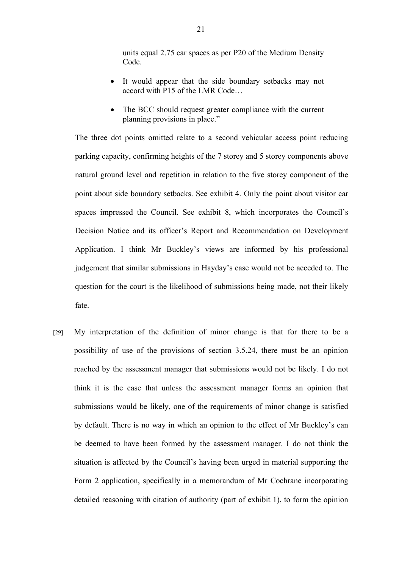units equal 2.75 car spaces as per P20 of the Medium Density Code.

- It would appear that the side boundary setbacks may not accord with P15 of the LMR Code…
- The BCC should request greater compliance with the current planning provisions in place."

The three dot points omitted relate to a second vehicular access point reducing parking capacity, confirming heights of the 7 storey and 5 storey components above natural ground level and repetition in relation to the five storey component of the point about side boundary setbacks. See exhibit 4. Only the point about visitor car spaces impressed the Council. See exhibit 8, which incorporates the Council's Decision Notice and its officer's Report and Recommendation on Development Application. I think Mr Buckley's views are informed by his professional judgement that similar submissions in Hayday's case would not be acceded to. The question for the court is the likelihood of submissions being made, not their likely fate.

[29] My interpretation of the definition of minor change is that for there to be a possibility of use of the provisions of section 3.5.24, there must be an opinion reached by the assessment manager that submissions would not be likely. I do not think it is the case that unless the assessment manager forms an opinion that submissions would be likely, one of the requirements of minor change is satisfied by default. There is no way in which an opinion to the effect of Mr Buckley's can be deemed to have been formed by the assessment manager. I do not think the situation is affected by the Council's having been urged in material supporting the Form 2 application, specifically in a memorandum of Mr Cochrane incorporating detailed reasoning with citation of authority (part of exhibit 1), to form the opinion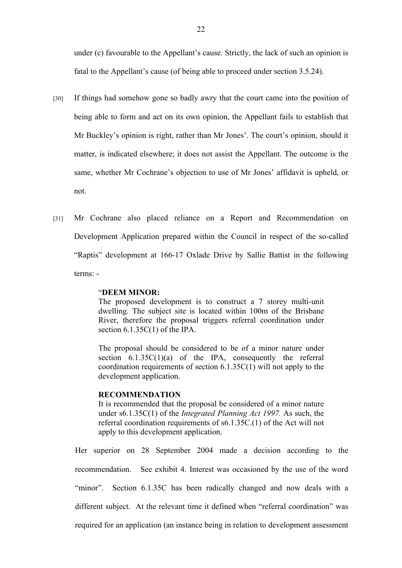under (c) favourable to the Appellant's cause. Strictly, the lack of such an opinion is fatal to the Appellant's cause (of being able to proceed under section 3.5.24).

- [30] If things had somehow gone so badly awry that the court came into the position of being able to form and act on its own opinion, the Appellant fails to establish that Mr Buckley's opinion is right, rather than Mr Jones'. The court's opinion, should it matter, is indicated elsewhere; it does not assist the Appellant. The outcome is the same, whether Mr Cochrane's objection to use of Mr Jones' affidavit is upheld, or not.
- [31] Mr Cochrane also placed reliance on a Report and Recommendation on Development Application prepared within the Council in respect of the so-called "Raptis" development at 166-17 Oxlade Drive by Sallie Battist in the following terms: -

# "**DEEM MINOR:**

The proposed development is to construct a 7 storey multi-unit dwelling. The subject site is located within 100m of the Brisbane River, therefore the proposal triggers referral coordination under section 6.1.35C(1) of the IPA.

The proposal should be considered to be of a minor nature under section  $6.1.35C(1)(a)$  of the IPA, consequently the referral coordination requirements of section 6.1.35C(1) will not apply to the development application.

# **RECOMMENDATION**

It is recommended that the proposal be considered of a minor nature under s6.1.35C(1) of the *Integrated Planning Act 1997.* As such, the referral coordination requirements of s6.1.35C.(1) of the Act will not apply to this development application.

Her superior on 28 September 2004 made a decision according to the recommendation. See exhibit 4. Interest was occasioned by the use of the word "minor". Section 6.1.35C has been radically changed and now deals with a different subject. At the relevant time it defined when "referral coordination" was required for an application (an instance being in relation to development assessment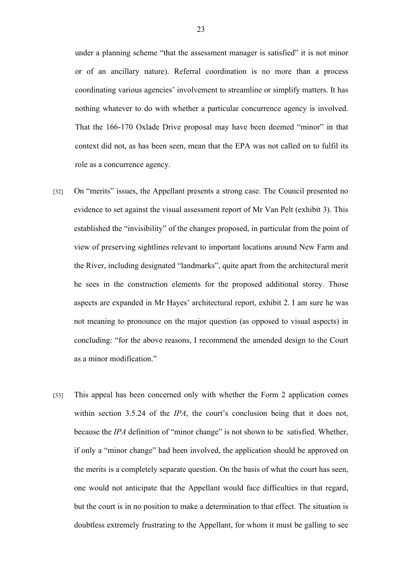under a planning scheme "that the assessment manager is satisfied" it is not minor or of an ancillary nature). Referral coordination is no more than a process coordinating various agencies' involvement to streamline or simplify matters. It has nothing whatever to do with whether a particular concurrence agency is involved. That the 166-170 Oxlade Drive proposal may have been deemed "minor" in that context did not, as has been seen, mean that the EPA was not called on to fulfil its role as a concurrence agency.

- [32] On "merits" issues, the Appellant presents a strong case. The Council presented no evidence to set against the visual assessment report of Mr Van Pelt (exhibit 3). This established the "invisibility" of the changes proposed, in particular from the point of view of preserving sightlines relevant to important locations around New Farm and the River, including designated "landmarks", quite apart from the architectural merit he sees in the construction elements for the proposed additional storey. Those aspects are expanded in Mr Hayes' architectural report, exhibit 2. I am sure he was not meaning to pronounce on the major question (as opposed to visual aspects) in concluding: "for the above reasons, I recommend the amended design to the Court as a minor modification."
- [33] This appeal has been concerned only with whether the Form 2 application comes within section 3.5.24 of the *IPA*, the court's conclusion being that it does not, because the *IPA* definition of "minor change" is not shown to be satisfied. Whether, if only a "minor change" had been involved, the application should be approved on the merits is a completely separate question. On the basis of what the court has seen, one would not anticipate that the Appellant would face difficulties in that regard, but the court is in no position to make a determination to that effect. The situation is doubtless extremely frustrating to the Appellant, for whom it must be galling to see